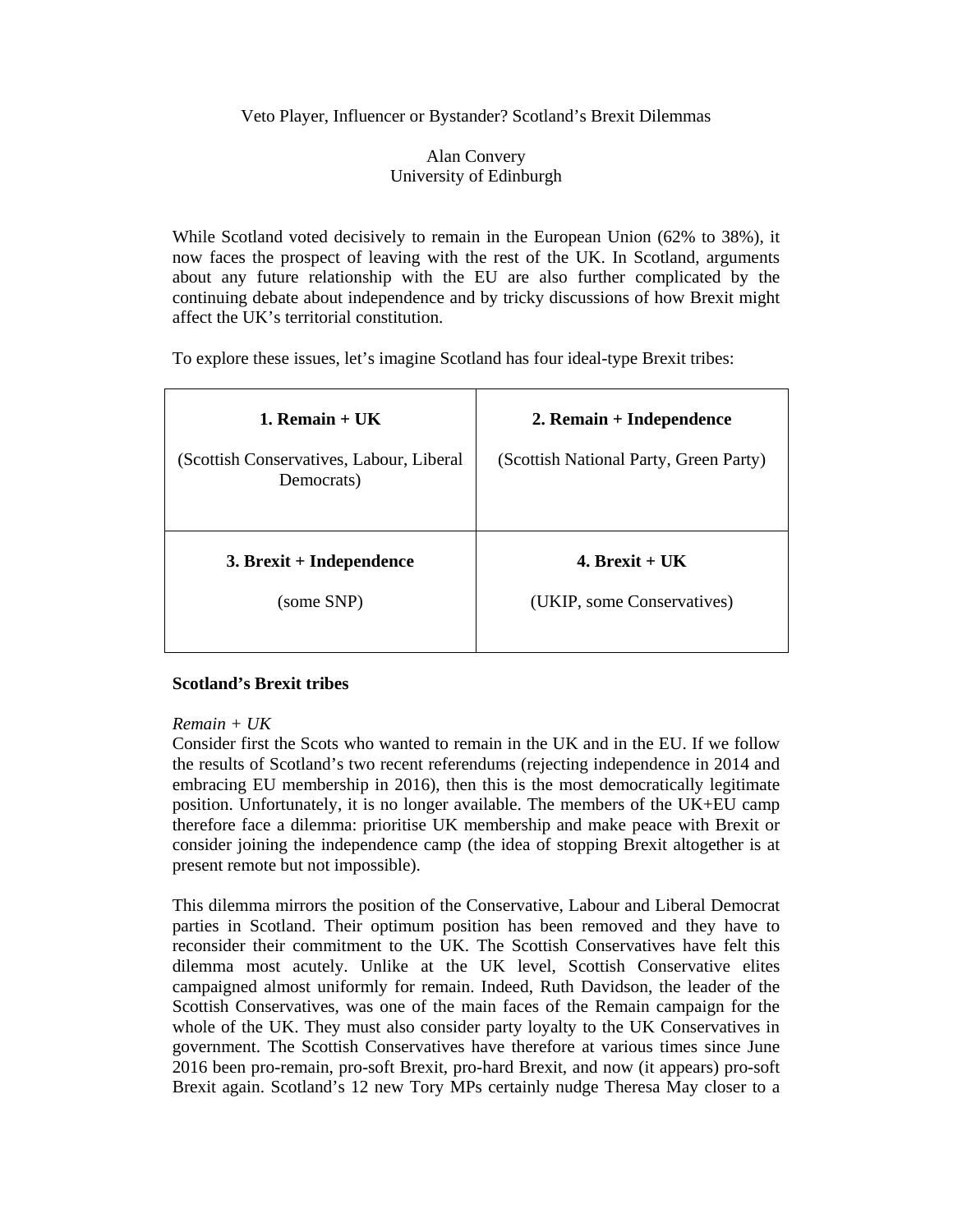# Veto Player, Influencer or Bystander? Scotland's Brexit Dilemmas

# Alan Convery University of Edinburgh

While Scotland voted decisively to remain in the European Union (62% to 38%), it now faces the prospect of leaving with the rest of the UK. In Scotland, arguments about any future relationship with the EU are also further complicated by the continuing debate about independence and by tricky discussions of how Brexit might affect the UK's territorial constitution.

To explore these issues, let's imagine Scotland has four ideal-type Brexit tribes:

| 1. Remain $+$ UK<br>(Scottish Conservatives, Labour, Liberal<br>Democrats) | 2. Remain + Independence<br>(Scottish National Party, Green Party) |
|----------------------------------------------------------------------------|--------------------------------------------------------------------|
| $3.$ Brexit + Independence                                                 | 4. Brexit + $IJK$                                                  |
| (some SNP)                                                                 | (UKIP, some Conservatives)                                         |

# **Scotland's Brexit tribes**

# *Remain + UK*

Consider first the Scots who wanted to remain in the UK and in the EU. If we follow the results of Scotland's two recent referendums (rejecting independence in 2014 and embracing EU membership in 2016), then this is the most democratically legitimate position. Unfortunately, it is no longer available. The members of the UK+EU camp therefore face a dilemma: prioritise UK membership and make peace with Brexit or consider joining the independence camp (the idea of stopping Brexit altogether is at present remote but not impossible).

This dilemma mirrors the position of the Conservative, Labour and Liberal Democrat parties in Scotland. Their optimum position has been removed and they have to reconsider their commitment to the UK. The Scottish Conservatives have felt this dilemma most acutely. Unlike at the UK level, Scottish Conservative elites campaigned almost uniformly for remain. Indeed, Ruth Davidson, the leader of the Scottish Conservatives, was one of the main faces of the Remain campaign for the whole of the UK. They must also consider party loyalty to the UK Conservatives in government. The Scottish Conservatives have therefore at various times since June 2016 been pro-remain, pro-soft Brexit, pro-hard Brexit, and now (it appears) pro-soft Brexit again. Scotland's 12 new Tory MPs certainly nudge Theresa May closer to a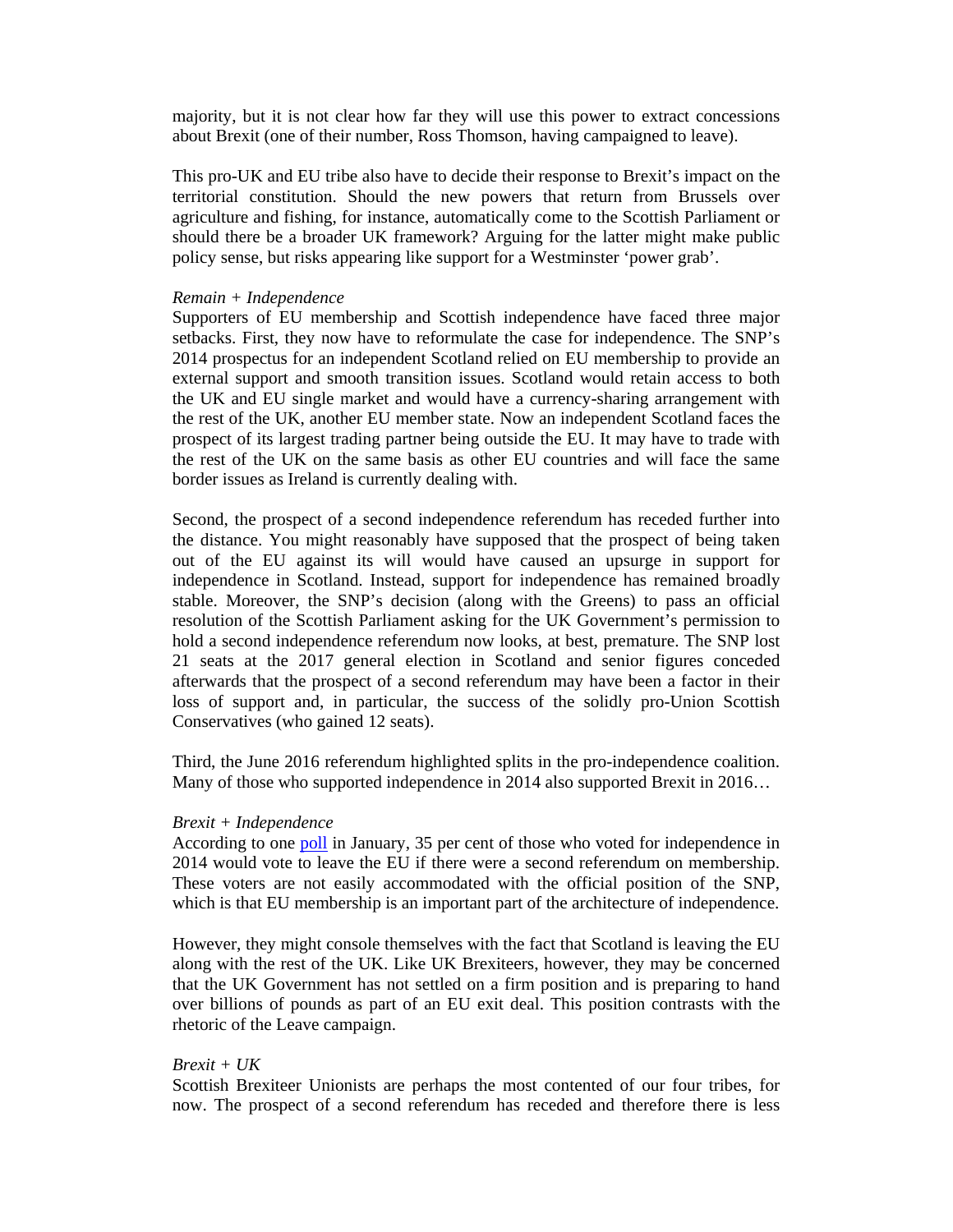majority, but it is not clear how far they will use this power to extract concessions about Brexit (one of their number, Ross Thomson, having campaigned to leave).

This pro-UK and EU tribe also have to decide their response to Brexit's impact on the territorial constitution. Should the new powers that return from Brussels over agriculture and fishing, for instance, automatically come to the Scottish Parliament or should there be a broader UK framework? Arguing for the latter might make public policy sense, but risks appearing like support for a Westminster 'power grab'.

#### *Remain + Independence*

Supporters of EU membership and Scottish independence have faced three major setbacks. First, they now have to reformulate the case for independence. The SNP's 2014 prospectus for an independent Scotland relied on EU membership to provide an external support and smooth transition issues. Scotland would retain access to both the UK and EU single market and would have a currency-sharing arrangement with the rest of the UK, another EU member state. Now an independent Scotland faces the prospect of its largest trading partner being outside the EU. It may have to trade with the rest of the UK on the same basis as other EU countries and will face the same border issues as Ireland is currently dealing with.

Second, the prospect of a second independence referendum has receded further into the distance. You might reasonably have supposed that the prospect of being taken out of the EU against its will would have caused an upsurge in support for independence in Scotland. Instead, support for independence has remained broadly stable. Moreover, the SNP's decision (along with the Greens) to pass an official resolution of the Scottish Parliament asking for the UK Government's permission to hold a second independence referendum now looks, at best, premature. The SNP lost 21 seats at the 2017 general election in Scotland and senior figures conceded afterwards that the prospect of a second referendum may have been a factor in their loss of support and, in particular, the success of the solidly pro-Union Scottish Conservatives (who gained 12 seats).

Third, the June 2016 referendum highlighted splits in the pro-independence coalition. Many of those who supported independence in 2014 also supported Brexit in 2016…

### *Brexit + Independence*

According to one poll in January, 35 per cent of those who voted for independence in 2014 would vote to leave the EU if there were a second referendum on membership. These voters are not easily accommodated with the official position of the SNP, which is that EU membership is an important part of the architecture of independence.

However, they might console themselves with the fact that Scotland is leaving the EU along with the rest of the UK. Like UK Brexiteers, however, they may be concerned that the UK Government has not settled on a firm position and is preparing to hand over billions of pounds as part of an EU exit deal. This position contrasts with the rhetoric of the Leave campaign.

### *Brexit + UK*

Scottish Brexiteer Unionists are perhaps the most contented of our four tribes, for now. The prospect of a second referendum has receded and therefore there is less